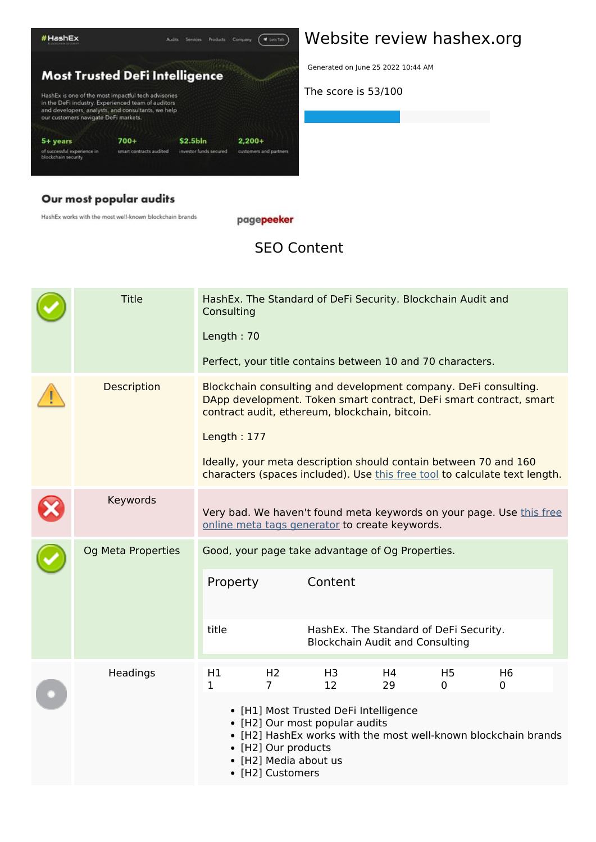

#### Our most popular audits

HashEx works with the most well-known blockchain brands

pagepeeker

#### **SEO Content**

|  | <b>Title</b>              | Consulting                                       |                                                                  | HashEx. The Standard of DeFi Security. Blockchain Audit and             |                                                                                  |                     |                                                                                                                                                |  |
|--|---------------------------|--------------------------------------------------|------------------------------------------------------------------|-------------------------------------------------------------------------|----------------------------------------------------------------------------------|---------------------|------------------------------------------------------------------------------------------------------------------------------------------------|--|
|  |                           | Length: 70                                       |                                                                  |                                                                         |                                                                                  |                     |                                                                                                                                                |  |
|  |                           |                                                  |                                                                  | Perfect, your title contains between 10 and 70 characters.              |                                                                                  |                     |                                                                                                                                                |  |
|  | Description               |                                                  |                                                                  | contract audit, ethereum, blockchain, bitcoin.                          |                                                                                  |                     | Blockchain consulting and development company. DeFi consulting.<br>DApp development. Token smart contract, DeFi smart contract, smart          |  |
|  |                           | Length: 177                                      |                                                                  |                                                                         |                                                                                  |                     |                                                                                                                                                |  |
|  |                           |                                                  |                                                                  |                                                                         |                                                                                  |                     | Ideally, your meta description should contain between 70 and 160<br>characters (spaces included). Use this free tool to calculate text length. |  |
|  | Keywords                  |                                                  |                                                                  | online meta tags generator to create keywords.                          |                                                                                  |                     | Very bad. We haven't found meta keywords on your page. Use this free                                                                           |  |
|  | <b>Og Meta Properties</b> | Good, your page take advantage of Og Properties. |                                                                  |                                                                         |                                                                                  |                     |                                                                                                                                                |  |
|  |                           | Property                                         |                                                                  | Content                                                                 |                                                                                  |                     |                                                                                                                                                |  |
|  |                           | title                                            |                                                                  |                                                                         | HashEx. The Standard of DeFi Security.<br><b>Blockchain Audit and Consulting</b> |                     |                                                                                                                                                |  |
|  | Headings                  | H1<br>1                                          | H <sub>2</sub><br>$\overline{7}$                                 | H <sub>3</sub><br>12                                                    | H4<br>29                                                                         | H <sub>5</sub><br>0 | H <sub>6</sub><br>0                                                                                                                            |  |
|  |                           |                                                  | • [H2] Our products<br>• [H2] Media about us<br>• [H2] Customers | • [H1] Most Trusted DeFi Intelligence<br>• [H2] Our most popular audits |                                                                                  |                     | • [H2] HashEx works with the most well-known blockchain brands                                                                                 |  |

#### **Website review hashex.org**

Generated on June 25 2022 10:44 AM

**The score is 53/100**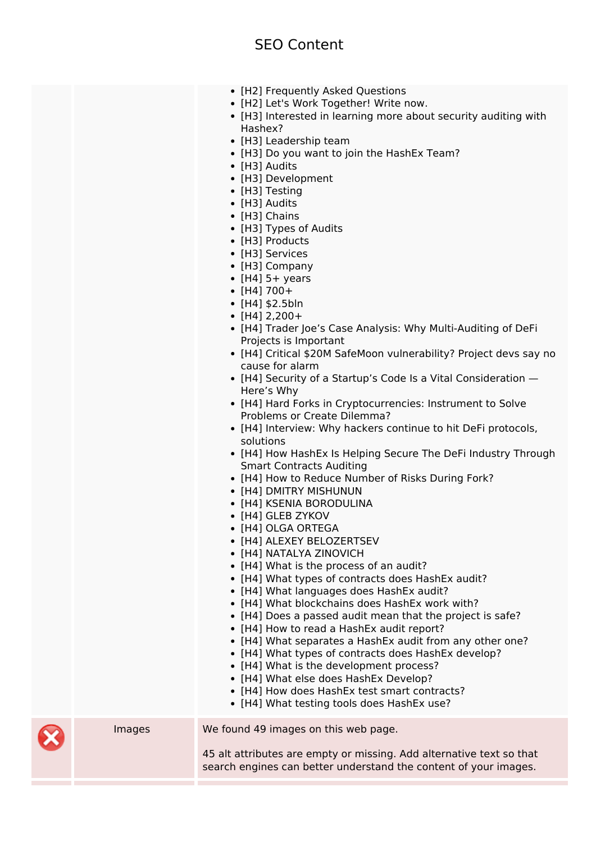#### **SEO Content**

- [H2] Frequently Asked Questions
- [H2] Let's Work Together! Write now.
- [H3] Interested in learning more about security auditing with Hashex?
- [H3] Leadership team
- [H3] Do you want to join the HashEx Team?
- [H3] Audits
- [H3] Development
- [H3] Testing
- [H3] Audits
- [H3] Chains
- [H3] Types of Audits
- [H3] Products
- [H3] Services
- [H3] Company
- $\bullet$  [H4] 5+ years
- $\bullet$  [H4] 700+
- $\cdot$  [H4] \$2.5bln
- $\cdot$  [H4] 2,200+
- [H4] Trader Joe's Case Analysis: Why Multi-Auditing of DeFi Projects is Important
- [H4] Critical \$20M SafeMoon vulnerability? Project devs say no cause for alarm
- [H4] Security of a Startup's Code Is a Vital Consideration Here's Why
- [H4] Hard Forks in Cryptocurrencies: Instrument to Solve Problems or Create Dilemma?
- [H4] Interview: Why hackers continue to hit DeFi protocols, solutions
- [H4] How HashEx Is Helping Secure The DeFi Industry Through Smart Contracts Auditing
- [H4] How to Reduce Number of Risks During Fork?
- [H4] DMITRY MISHUNUN
- [H4] KSENIA BORODULINA
- [H4] GLEB ZYKOV
- [H4] OLGA ORTEGA
- [H4] ALEXEY BELOZERTSEV
- [H4] NATALYA ZINOVICH
- [H4] What is the process of an audit?
- [H4] What types of contracts does HashEx audit?
- [H4] What languages does HashEx audit?
- [H4] What blockchains does HashEx work with?
- [H4] Does a passed audit mean that the project is safe?
- [H4] How to read a HashEx audit report?
- [H4] What separates a HashEx audit from any other one?
- [H4] What types of contracts does HashEx develop?
- [H4] What is the development process?
- [H4] What else does HashEx Develop?
- [H4] How does HashEx test smart contracts?
- [H4] What testing tools does HashEx use?

Images We found 49 images on this web page.

45 alt attributes are empty or missing. Add alternative text so that search engines can better understand the content of your images.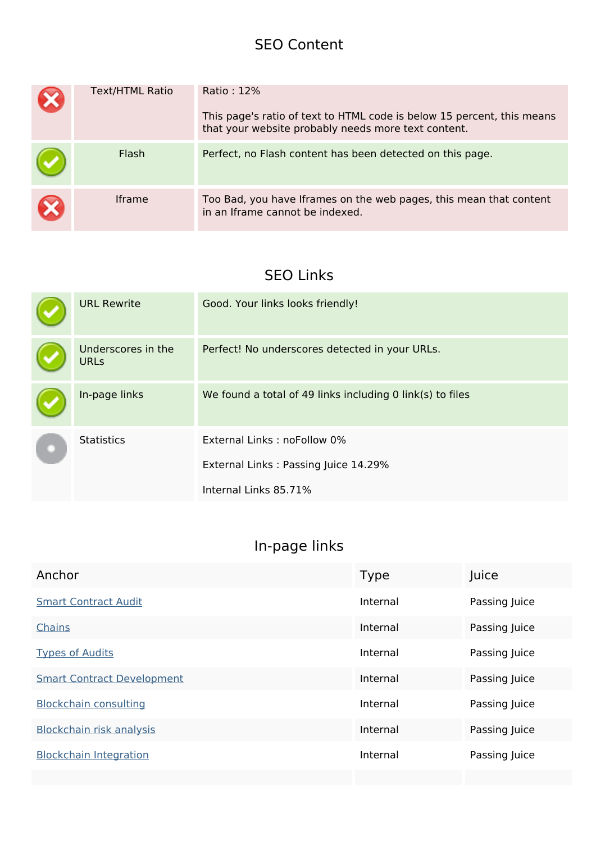#### **SEO Content**

|    | <b>Text/HTML Ratio</b> | Ratio: 12%<br>This page's ratio of text to HTML code is below 15 percent, this means<br>that your website probably needs more text content. |
|----|------------------------|---------------------------------------------------------------------------------------------------------------------------------------------|
|    | Flash                  | Perfect, no Flash content has been detected on this page.                                                                                   |
| IХ | <b>Iframe</b>          | Too Bad, you have Iframes on the web pages, this mean that content<br>in an Iframe cannot be indexed.                                       |

#### **SEO Links**

|  | <b>URL Rewrite</b>                | Good. Your links looks friendly!                          |
|--|-----------------------------------|-----------------------------------------------------------|
|  | Underscores in the<br><b>URLs</b> | Perfect! No underscores detected in your URLs.            |
|  | In-page links                     | We found a total of 49 links including 0 link(s) to files |
|  | <b>Statistics</b>                 | External Links: noFollow 0%                               |
|  |                                   | External Links: Passing Juice 14.29%                      |
|  |                                   | Internal Links 85.71%                                     |

## **In-page links**

| Anchor                            | <b>Type</b> | Juice         |
|-----------------------------------|-------------|---------------|
| <b>Smart Contract Audit</b>       | Internal    | Passing Juice |
| <b>Chains</b>                     | Internal    | Passing Juice |
| <b>Types of Audits</b>            | Internal    | Passing Juice |
| <b>Smart Contract Development</b> | Internal    | Passing Juice |
| <b>Blockchain consulting</b>      | Internal    | Passing Juice |
| Blockchain risk analysis          | Internal    | Passing Juice |
| <b>Blockchain Integration</b>     | Internal    | Passing Juice |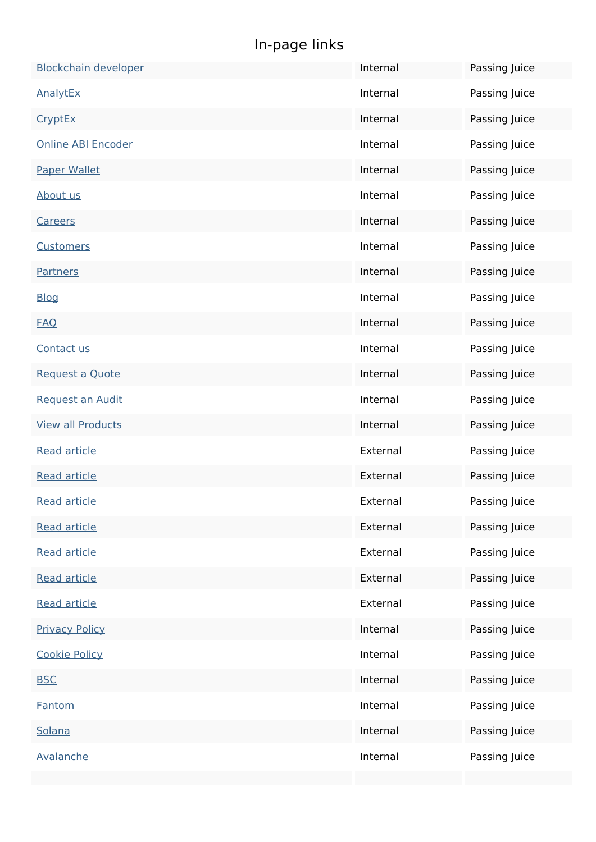## **In-page links**

| <b>Blockchain developer</b> | Internal | Passing Juice |
|-----------------------------|----------|---------------|
| AnalytEx                    | Internal | Passing Juice |
| CryptEx                     | Internal | Passing Juice |
| <b>Online ABI Encoder</b>   | Internal | Passing Juice |
| <b>Paper Wallet</b>         | Internal | Passing Juice |
| About us                    | Internal | Passing Juice |
| <b>Careers</b>              | Internal | Passing Juice |
| <b>Customers</b>            | Internal | Passing Juice |
| <b>Partners</b>             | Internal | Passing Juice |
| <b>Blog</b>                 | Internal | Passing Juice |
| <b>FAQ</b>                  | Internal | Passing Juice |
| Contact us                  | Internal | Passing Juice |
| Request a Quote             | Internal | Passing Juice |
| <b>Request an Audit</b>     | Internal | Passing Juice |
| <b>View all Products</b>    | Internal | Passing Juice |
| <b>Read article</b>         | External | Passing Juice |
| <b>Read article</b>         | External | Passing Juice |
| <b>Read article</b>         | External | Passing Juice |
| <b>Read article</b>         | External | Passing Juice |
| <b>Read article</b>         | External | Passing Juice |
| <b>Read article</b>         | External | Passing Juice |
| <b>Read article</b>         | External | Passing Juice |
| <b>Privacy Policy</b>       | Internal | Passing Juice |
| <b>Cookie Policy</b>        | Internal | Passing Juice |
| <b>BSC</b>                  | Internal | Passing Juice |
| Fantom                      | Internal | Passing Juice |
| Solana                      | Internal | Passing Juice |
| Avalanche                   | Internal | Passing Juice |
|                             |          |               |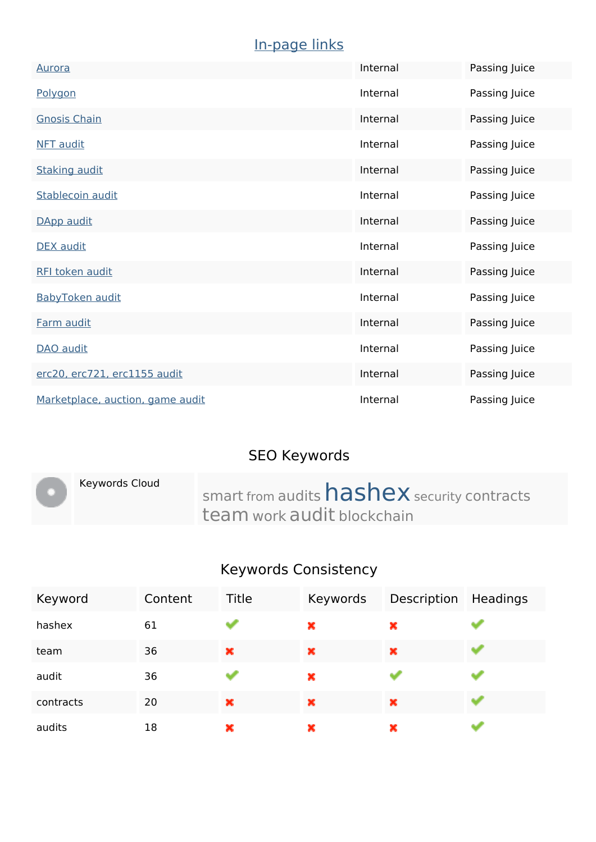## **In-page links**

| <b>Aurora</b>                    | Internal | Passing Juice |
|----------------------------------|----------|---------------|
| Polygon                          | Internal | Passing Juice |
| <b>Gnosis Chain</b>              | Internal | Passing Juice |
| <b>NFT</b> audit                 | Internal | Passing Juice |
| <b>Staking audit</b>             | Internal | Passing Juice |
| Stablecoin audit                 | Internal | Passing Juice |
| DApp audit                       | Internal | Passing Juice |
| <b>DEX</b> audit                 | Internal | Passing Juice |
| <b>RFI token audit</b>           | Internal | Passing Juice |
| BabyToken audit                  | Internal | Passing Juice |
| Farm audit                       | Internal | Passing Juice |
| DAO audit                        | Internal | Passing Juice |
| erc20, erc721, erc1155 audit     | Internal | Passing Juice |
| Marketplace, auction, game audit | Internal | Passing Juice |

## **SEO Keywords**

|  | Keywords Cloud | smart from audits <b>hashex</b> security contracts |
|--|----------------|----------------------------------------------------|
|  |                | team work audit blockchain                         |

## **Keywords Consistency**

| Keyword   | Content | Title | Keywords | Description | Headings |
|-----------|---------|-------|----------|-------------|----------|
| hashex    | 61      |       | ×        | ×           |          |
| team      | 36      | ×     | ×        | ×           |          |
| audit     | 36      |       | ×        |             |          |
| contracts | 20      | ×     | ×        | ×           |          |
| audits    | 18      | ×     | ×        | ×           |          |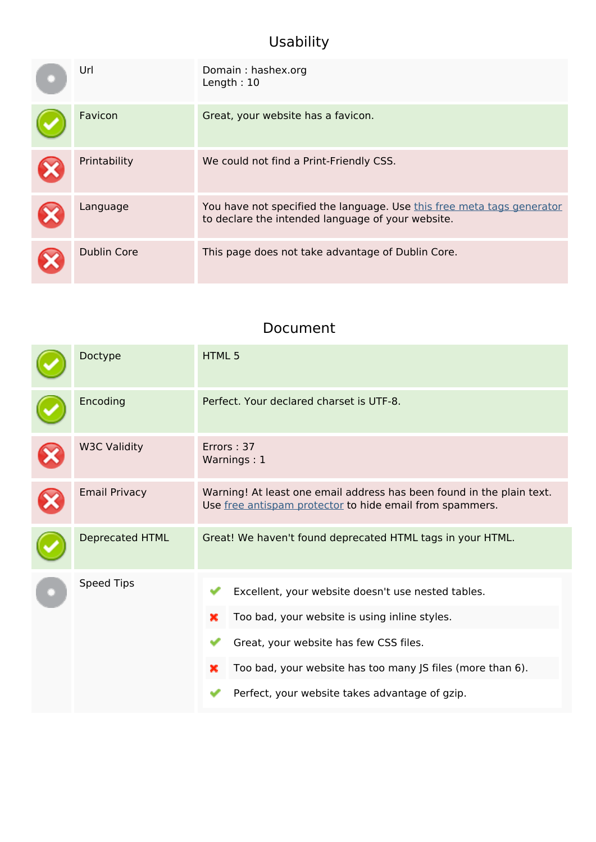## **Usability**

| Url          | Domain: hashex.org<br>Length: $10$                                                                                          |
|--------------|-----------------------------------------------------------------------------------------------------------------------------|
| Favicon      | Great, your website has a favicon.                                                                                          |
| Printability | We could not find a Print-Friendly CSS.                                                                                     |
| Language     | You have not specified the language. Use this free meta tags generator<br>to declare the intended language of your website. |
| Dublin Core  | This page does not take advantage of Dublin Core.                                                                           |

#### **Document**

| Doctype                | HTML <sub>5</sub>                                                                                                                                                                                                                                                       |  |  |
|------------------------|-------------------------------------------------------------------------------------------------------------------------------------------------------------------------------------------------------------------------------------------------------------------------|--|--|
| Encoding               | Perfect. Your declared charset is UTF-8.                                                                                                                                                                                                                                |  |  |
| <b>W3C Validity</b>    | Errors: 37<br>Warnings: 1                                                                                                                                                                                                                                               |  |  |
| <b>Email Privacy</b>   | Warning! At least one email address has been found in the plain text.<br>Use free antispam protector to hide email from spammers.                                                                                                                                       |  |  |
| <b>Deprecated HTML</b> | Great! We haven't found deprecated HTML tags in your HTML.                                                                                                                                                                                                              |  |  |
| <b>Speed Tips</b>      | Excellent, your website doesn't use nested tables.<br>Too bad, your website is using inline styles.<br>×<br>Great, your website has few CSS files.<br>Too bad, your website has too many JS files (more than 6).<br>×<br>Perfect, your website takes advantage of gzip. |  |  |